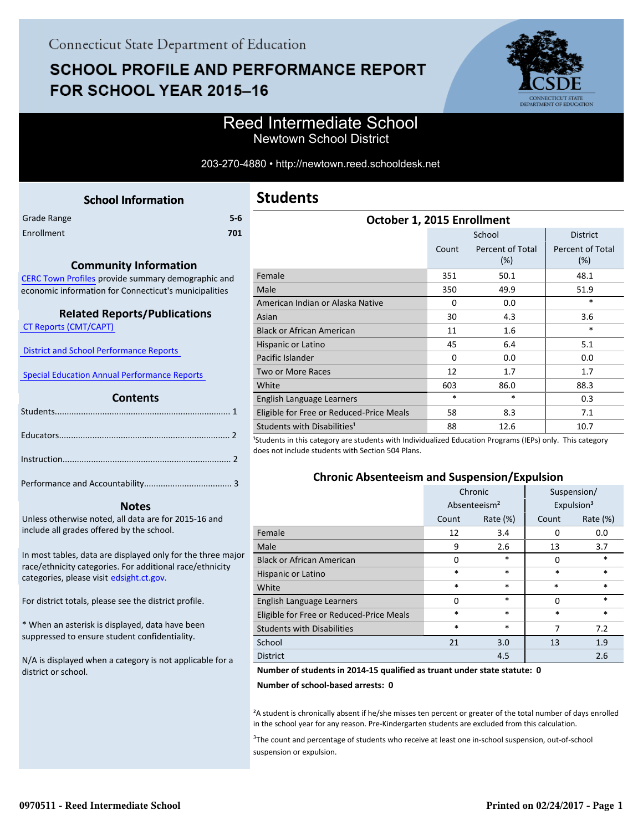# **SCHOOL PROFILE AND PERFORMANCE REPORT** FOR SCHOOL YEAR 2015-16



### Reed Intermediate School Newtown School District

#### 203-270-4880 • http://newtown.reed.schooldesk.net

<span id="page-0-0"></span>

|             | <b>School Information</b> |       |
|-------------|---------------------------|-------|
| Grade Range |                           | $5-6$ |
| Enrollment  |                           | 701   |
|             |                           |       |

#### **Community Information**

[CERC Town Profiles provide summary demographic and](http://www.cerc.com/townprofiles/) economic information for Connecticut's municipalities

#### **Related Reports/Publications**

 [CT Reports \(CMT/CAPT\)](http://ctreports.com/) 

 [District and School Performance Reports](http://www.csde.state.ct.us/public/performancereports/reports.asp) 

 [Special Education Annual Performance Reports](http://edsight.ct.gov/SASPortal/main.do) 

#### **Contents**

 **Notes**

Performance and Accountability..................................... 3 .

Unless otherwise noted, all data are for 2015-16 and include all grades offered by the school.

[In most tables, data are displayed only for the three major](http://edsight.ct.gov/) race/ethnicity categories. For additional race/ethnicity categories, please visit edsight.ct.gov.

For district totals, please see the district profile.

\* When an asterisk is displayed, data have been suppressed to ensure student confidentiality.

N/A is displayed when a category is not applicable for a district or school.

| <b>Students</b> |
|-----------------|
|-----------------|

| October 1, 2015 Enrollment               |          |                         |                                |  |  |  |
|------------------------------------------|----------|-------------------------|--------------------------------|--|--|--|
|                                          |          | <b>District</b>         |                                |  |  |  |
|                                          | Count    | Percent of Total<br>(%) | <b>Percent of Total</b><br>(%) |  |  |  |
| Female                                   | 351      | 50.1                    | 48.1                           |  |  |  |
| Male                                     | 350      | 49.9                    | 51.9                           |  |  |  |
| American Indian or Alaska Native         | $\Omega$ | 0.0                     | $\ast$                         |  |  |  |
| Asian                                    | 30       | 4.3                     | 3.6                            |  |  |  |
| <b>Black or African American</b>         | 11       | 1.6                     | $\ast$                         |  |  |  |
| Hispanic or Latino                       | 45       | 6.4                     | 5.1                            |  |  |  |
| Pacific Islander                         | $\Omega$ | 0.0                     | 0.0                            |  |  |  |
| Two or More Races                        | 12       | 1.7                     | 1.7                            |  |  |  |
| White                                    | 603      | 86.0                    | 88.3                           |  |  |  |
| English Language Learners                | *        | *                       | 0.3                            |  |  |  |
| Eligible for Free or Reduced-Price Meals | 58       | 8.3                     | 7.1                            |  |  |  |
| Students with Disabilities <sup>1</sup>  | 88       | 12.6                    | 10.7                           |  |  |  |

<sup>1</sup>Students in this category are students with Individualized Education Programs (IEPs) only. This category does not include students with Section 504 Plans.

#### **Chronic Absenteeism and Suspension/Expulsion**

|                                          | Chronic                  |             | Suspension/ |                        |
|------------------------------------------|--------------------------|-------------|-------------|------------------------|
|                                          | Absenteeism <sup>2</sup> |             |             | Expulsion <sup>3</sup> |
|                                          | Count                    | Rate $(\%)$ | Count       | Rate (%)               |
| Female                                   | 12                       | 3.4         | 0           | 0.0                    |
| Male                                     | 9                        | 2.6         | 13          | 3.7                    |
| <b>Black or African American</b>         | 0                        | $\ast$      | 0           | *                      |
| Hispanic or Latino                       | *                        | $\ast$      | *           | $\ast$                 |
| White                                    | *                        | $\ast$      | $\ast$      | $\ast$                 |
| English Language Learners                | $\Omega$                 | $\ast$      | $\Omega$    | $\ast$                 |
| Eligible for Free or Reduced-Price Meals | *                        | $\ast$      | *           | $\ast$                 |
| <b>Students with Disabilities</b>        | *                        | $\ast$      | 7           | 7.2                    |
| School                                   | 21                       | 3.0         | 13          | 1.9                    |
| <b>District</b>                          |                          | 4.5         |             | 2.6                    |

#### **Number of students in 2014-15 qualified as truant under state statute: 0**

**Number of school-based arrests: 0**

²A student is chronically absent if he/she misses ten percent or greater of the total number of days enrolled in the school year for any reason. Pre-Kindergarten students are excluded from this calculation.

<sup>3</sup>The count and percentage of students who receive at least one in-school suspension, out-of-school suspension or expulsion.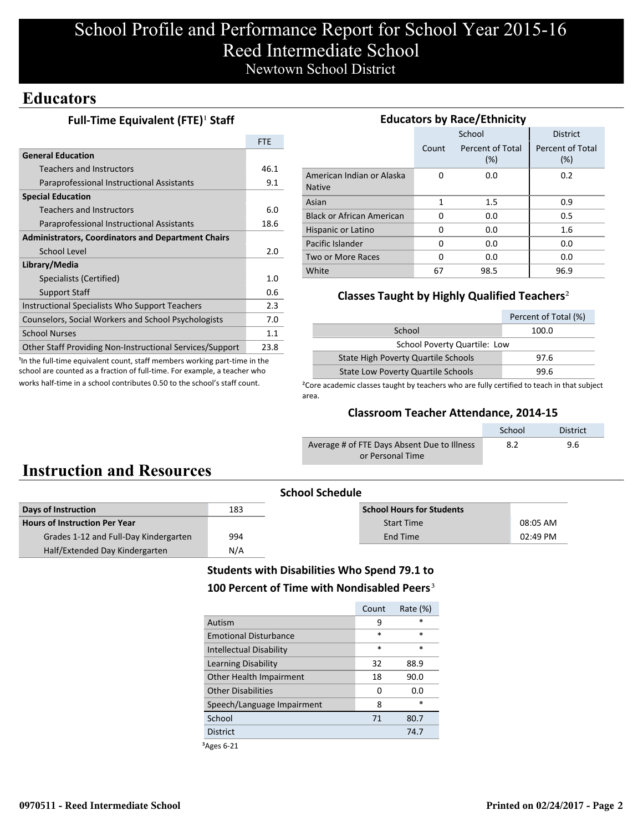# School Profile and Performance Report for School Year 2015-16 Reed Intermediate School Newtown School District

### **Educators**

### **Full-Time Equivalent (FTE)<sup>1</sup> Staff**

| <b>General Education</b><br><b>Teachers and Instructors</b><br>Paraprofessional Instructional Assistants<br><b>Special Education</b><br>Teachers and Instructors<br>Paraprofessional Instructional Assistants | <b>FTE</b> |
|---------------------------------------------------------------------------------------------------------------------------------------------------------------------------------------------------------------|------------|
|                                                                                                                                                                                                               |            |
|                                                                                                                                                                                                               | 46.1       |
|                                                                                                                                                                                                               | 9.1        |
|                                                                                                                                                                                                               |            |
|                                                                                                                                                                                                               | 6.0        |
|                                                                                                                                                                                                               | 18.6       |
| <b>Administrators, Coordinators and Department Chairs</b>                                                                                                                                                     |            |
| School Level                                                                                                                                                                                                  | 2.0        |
| Library/Media                                                                                                                                                                                                 |            |
| Specialists (Certified)                                                                                                                                                                                       | 1.0        |
| <b>Support Staff</b>                                                                                                                                                                                          | 0.6        |
| Instructional Specialists Who Support Teachers                                                                                                                                                                | 2.3        |
| Counselors, Social Workers and School Psychologists                                                                                                                                                           | 7.0        |
| <b>School Nurses</b>                                                                                                                                                                                          | 1.1        |
| Other Staff Providing Non-Instructional Services/Support                                                                                                                                                      | 23.8       |

<sup>1</sup>In the full-time equivalent count, staff members working part-time in the school are counted as a fraction of full-time. For example, a teacher who works half-time in a school contributes 0.50 to the school's staff count.

| <b>Educators by Race/Ethnicity</b>         |       |                         |                         |  |  |  |  |
|--------------------------------------------|-------|-------------------------|-------------------------|--|--|--|--|
|                                            |       | School                  | <b>District</b>         |  |  |  |  |
|                                            | Count | Percent of Total<br>(%) | Percent of Total<br>(%) |  |  |  |  |
| American Indian or Alaska<br><b>Native</b> | O     | 0.0                     | 0.2                     |  |  |  |  |
| Asian                                      | 1     | 1.5                     | 0.9                     |  |  |  |  |
| <b>Black or African American</b>           | 0     | 0.0                     | 0.5                     |  |  |  |  |
| Hispanic or Latino                         | 0     | 0.0                     | 1.6                     |  |  |  |  |
| Pacific Islander                           | 0     | 0.0                     | 0.0                     |  |  |  |  |
| Two or More Races                          | 0     | 0.0                     | 0.0                     |  |  |  |  |
| White                                      | 67    | 98.5                    | 96.9                    |  |  |  |  |

#### **Classes Taught by Highly Qualified Teachers**²

|                                           | Percent of Total (%) |  |  |  |
|-------------------------------------------|----------------------|--|--|--|
| School                                    | 100.0                |  |  |  |
| <b>School Poverty Quartile: Low</b>       |                      |  |  |  |
| State High Poverty Quartile Schools       | 97.6                 |  |  |  |
| <b>State Low Poverty Quartile Schools</b> | 99.6                 |  |  |  |

<sup>2</sup>Core academic classes taught by teachers who are fully certified to teach in that subject area.

#### **Classroom Teacher Attendance, 2014-15**

|                                             | School | District |
|---------------------------------------------|--------|----------|
| Average # of FTE Days Absent Due to Illness | 8.2    | 9.6      |
| or Personal Time                            |        |          |

# **Instruction and Resources**

| <b>School Schedule</b>                |     |                                  |            |  |  |
|---------------------------------------|-----|----------------------------------|------------|--|--|
| Days of Instruction                   | 183 | <b>School Hours for Students</b> |            |  |  |
| <b>Hours of Instruction Per Year</b>  |     | <b>Start Time</b>                | 08:05 AM   |  |  |
| Grades 1-12 and Full-Day Kindergarten | 994 | End Time                         | $02:49$ PM |  |  |
| Half/Extended Day Kindergarten        | N/A |                                  |            |  |  |

### **Students with Disabilities Who Spend 79.1 to** 100 Percent of Time with Nondisabled Peers<sup>3</sup>

| Count  | Rate $(\%)$ |
|--------|-------------|
| 9      | *           |
| $\ast$ | $\ast$      |
| $\ast$ | $\ast$      |
| 32     | 88.9        |
| 18     | 90.0        |
| 0      | 0.O         |
| 8      | $\ast$      |
| 71     | 80.7        |
|        | 74.7        |
|        |             |

³Ages 6-21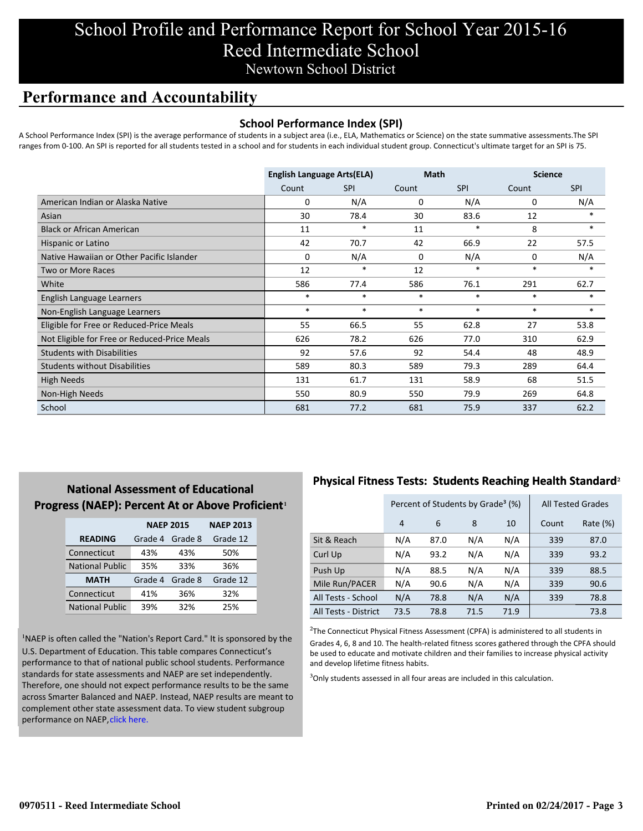# School Profile and Performance Report for School Year 2015-16 Reed Intermediate School Newtown School District

## **Performance and Accountability**

#### **School Performance Index (SPI)**

A School Performance Index (SPI) is the average performance of students in a subject area (i.e., ELA, Mathematics or Science) on the state summative assessments.The SPI ranges from 0-100. An SPI is reported for all students tested in a school and for students in each individual student group. Connecticut's ultimate target for an SPI is 75.

|                                              | <b>English Language Arts(ELA)</b> |            | <b>Math</b> |            | <b>Science</b> |            |
|----------------------------------------------|-----------------------------------|------------|-------------|------------|----------------|------------|
|                                              | Count                             | <b>SPI</b> | Count       | <b>SPI</b> | Count          | <b>SPI</b> |
| American Indian or Alaska Native             | 0                                 | N/A        | 0           | N/A        | 0              | N/A        |
| Asian                                        | 30                                | 78.4       | 30          | 83.6       | 12             | *          |
| <b>Black or African American</b>             | 11                                | *          | 11          | *          | 8              | $\ast$     |
| Hispanic or Latino                           | 42                                | 70.7       | 42          | 66.9       | 22             | 57.5       |
| Native Hawaiian or Other Pacific Islander    | 0                                 | N/A        | 0           | N/A        | 0              | N/A        |
| Two or More Races                            | 12                                | $\ast$     | 12          | $\ast$     | $\ast$         | $\ast$     |
| White                                        | 586                               | 77.4       | 586         | 76.1       | 291            | 62.7       |
| English Language Learners                    | $\ast$                            | $\ast$     | $\ast$      | $\ast$     | $\ast$         | $\ast$     |
| Non-English Language Learners                | $\ast$                            | $\ast$     | $\ast$      | $\ast$     | $\ast$         | $\ast$     |
| Eligible for Free or Reduced-Price Meals     | 55                                | 66.5       | 55          | 62.8       | 27             | 53.8       |
| Not Eligible for Free or Reduced-Price Meals | 626                               | 78.2       | 626         | 77.0       | 310            | 62.9       |
| <b>Students with Disabilities</b>            | 92                                | 57.6       | 92          | 54.4       | 48             | 48.9       |
| <b>Students without Disabilities</b>         | 589                               | 80.3       | 589         | 79.3       | 289            | 64.4       |
| <b>High Needs</b>                            | 131                               | 61.7       | 131         | 58.9       | 68             | 51.5       |
| Non-High Needs                               | 550                               | 80.9       | 550         | 79.9       | 269            | 64.8       |
| School                                       | 681                               | 77.2       | 681         | 75.9       | 337            | 62.2       |

### **National Assessment of Educational Progress (NAEP): Percent At or Above Proficient1**

|                        | <b>NAEP 2015</b> |         | <b>NAEP 2013</b> |  |
|------------------------|------------------|---------|------------------|--|
| <b>READING</b>         | Grade 4          | Grade 8 | Grade 12         |  |
| Connecticut            | 43%              | 43%     | 50%              |  |
| <b>National Public</b> | 35%              | 33%     | 36%              |  |
| <b>MATH</b>            | Grade 4          | Grade 8 | Grade 12         |  |
| Connecticut            | 41%              | 36%     | 32%              |  |
| <b>National Public</b> | 39%              | 32%     | 25%              |  |

<sup>1</sup>NAEP is often called the "Nation's Report Card." It is sponsored by the U.S. Department of Education. This table compares Connecticut's performance to that of national public school students. Performance standards for state assessments and NAEP are set independently. Therefore, one should not expect performance results to be the same [across Smarter Balanced and NAEP. Instead, NAEP results are meant to](http://www.sde.ct.gov/sde/lib/sde/pdf/evalresearch/ct_naep_2015_results_by_performance_level.pdf) complement other state assessment data. To view student subgroup performance on NAEP, click here.

### **Physical Fitness Tests: Students Reaching Health Standard**²

|                      | Percent of Students by Grade <sup>3</sup> (%) |      |      |      | <b>All Tested Grades</b> |          |
|----------------------|-----------------------------------------------|------|------|------|--------------------------|----------|
|                      | 4                                             | 6    | 8    | 10   | Count                    | Rate (%) |
| Sit & Reach          | N/A                                           | 87.0 | N/A  | N/A  | 339                      | 87.0     |
| Curl Up              | N/A                                           | 93.2 | N/A  | N/A  | 339                      | 93.2     |
| Push Up              | N/A                                           | 88.5 | N/A  | N/A  | 339                      | 88.5     |
| Mile Run/PACER       | N/A                                           | 90.6 | N/A  | N/A  | 339                      | 90.6     |
| All Tests - School   | N/A                                           | 78.8 | N/A  | N/A  | 339                      | 78.8     |
| All Tests - District | 73.5                                          | 78.8 | 71.5 | 71.9 |                          | 73.8     |

 $2$ The Connecticut Physical Fitness Assessment (CPFA) is administered to all students in Grades 4, 6, 8 and 10. The health-related fitness scores gathered through the CPFA should be used to educate and motivate children and their families to increase physical activity and develop lifetime fitness habits.

<sup>3</sup>Only students assessed in all four areas are included in this calculation.